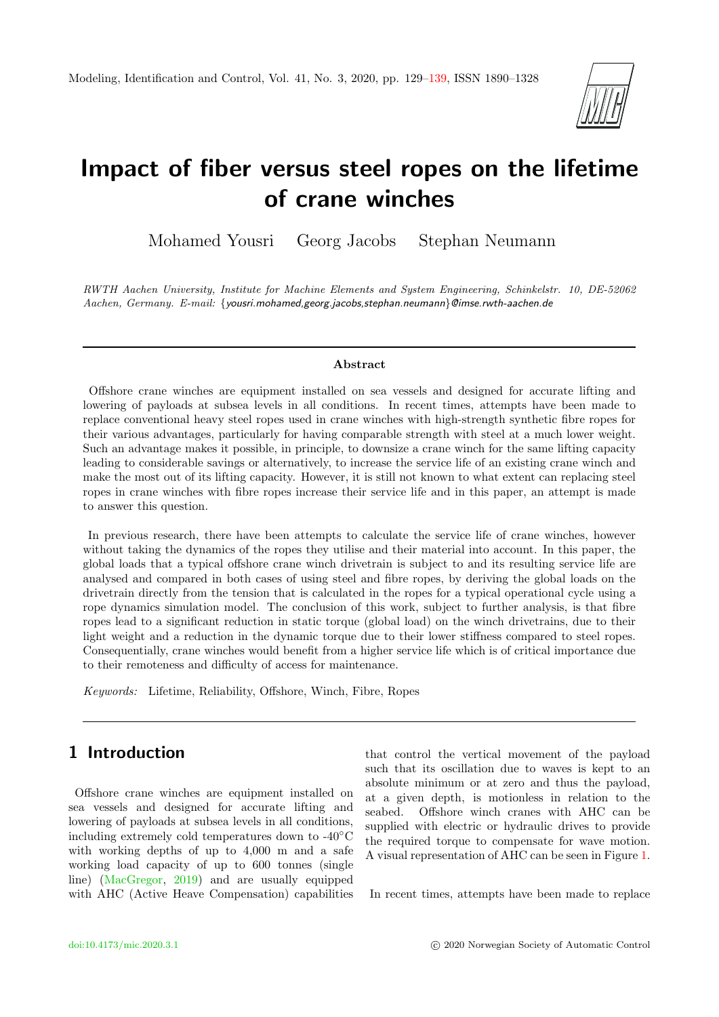

# Impact of fiber versus steel ropes on the lifetime of crane winches

Mohamed Yousri Georg Jacobs Stephan Neumann

RWTH Aachen University, Institute for Machine Elements and System Engineering, Schinkelstr. 10, DE-52062 Aachen, Germany. E-mail: {yousri.mohamed,georg.jacobs,stephan.neumann}@imse.rwth-aachen.de

## Abstract

Offshore crane winches are equipment installed on sea vessels and designed for accurate lifting and lowering of payloads at subsea levels in all conditions. In recent times, attempts have been made to replace conventional heavy steel ropes used in crane winches with high-strength synthetic fibre ropes for their various advantages, particularly for having comparable strength with steel at a much lower weight. Such an advantage makes it possible, in principle, to downsize a crane winch for the same lifting capacity leading to considerable savings or alternatively, to increase the service life of an existing crane winch and make the most out of its lifting capacity. However, it is still not known to what extent can replacing steel ropes in crane winches with fibre ropes increase their service life and in this paper, an attempt is made to answer this question.

In previous research, there have been attempts to calculate the service life of crane winches, however without taking the dynamics of the ropes they utilise and their material into account. In this paper, the global loads that a typical offshore crane winch drivetrain is subject to and its resulting service life are analysed and compared in both cases of using steel and fibre ropes, by deriving the global loads on the drivetrain directly from the tension that is calculated in the ropes for a typical operational cycle using a rope dynamics simulation model. The conclusion of this work, subject to further analysis, is that fibre ropes lead to a significant reduction in static torque (global load) on the winch drivetrains, due to their light weight and a reduction in the dynamic torque due to their lower stiffness compared to steel ropes. Consequentially, crane winches would benefit from a higher service life which is of critical importance due to their remoteness and difficulty of access for maintenance.

Keywords: Lifetime, Reliability, Offshore, Winch, Fibre, Ropes

# 1 Introduction

Offshore crane winches are equipment installed on sea vessels and designed for accurate lifting and lowering of payloads at subsea levels in all conditions, including extremely cold temperatures down to -40◦C with working depths of up to 4,000 m and a safe working load capacity of up to 600 tonnes (single line) [\(MacGregor,](#page-10-1) [2019\)](#page-10-1) and are usually equipped with AHC (Active Heave Compensation) capabilities that control the vertical movement of the payload such that its oscillation due to waves is kept to an absolute minimum or at zero and thus the payload, at a given depth, is motionless in relation to the seabed. Offshore winch cranes with AHC can be supplied with electric or hydraulic drives to provide the required torque to compensate for wave motion. A visual representation of AHC can be seen in Figure [1.](#page-1-0)

In recent times, attempts have been made to replace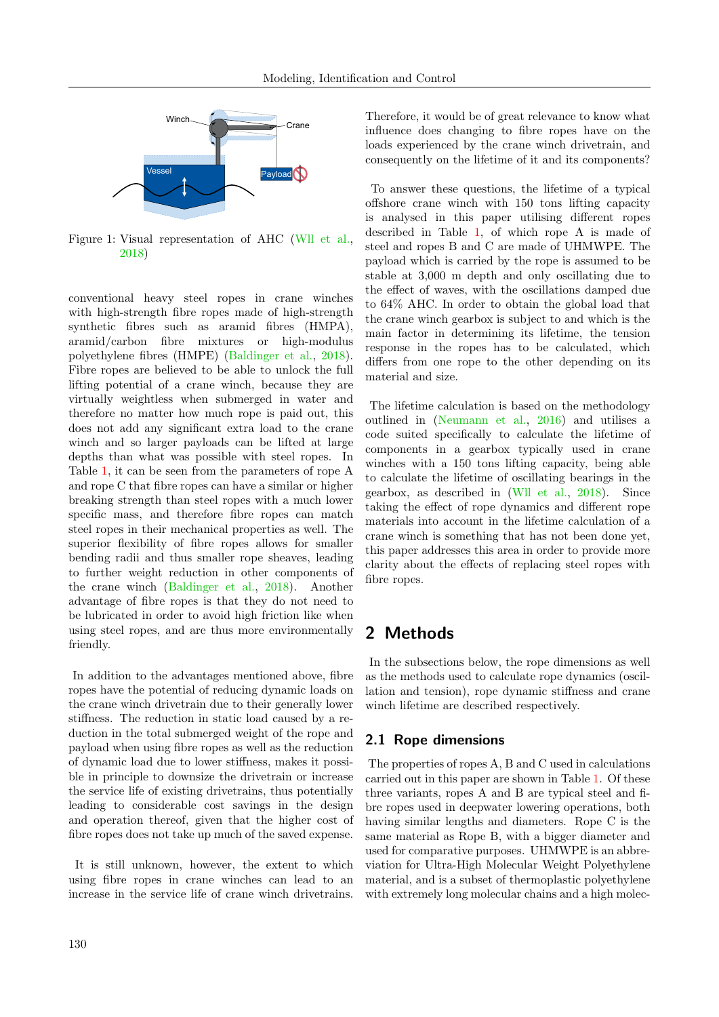<span id="page-1-0"></span>

Figure 1: Visual representation of AHC [\(Wll et al.,](#page-10-2) [2018\)](#page-10-2)

conventional heavy steel ropes in crane winches with high-strength fibre ropes made of high-strength synthetic fibres such as aramid fibres (HMPA), aramid/carbon fibre mixtures or high-modulus polyethylene fibres (HMPE) [\(Baldinger et al.,](#page-9-0) [2018\)](#page-9-0). Fibre ropes are believed to be able to unlock the full lifting potential of a crane winch, because they are virtually weightless when submerged in water and therefore no matter how much rope is paid out, this does not add any significant extra load to the crane winch and so larger payloads can be lifted at large depths than what was possible with steel ropes. In Table [1,](#page-2-0) it can be seen from the parameters of rope A and rope C that fibre ropes can have a similar or higher breaking strength than steel ropes with a much lower specific mass, and therefore fibre ropes can match steel ropes in their mechanical properties as well. The superior flexibility of fibre ropes allows for smaller bending radii and thus smaller rope sheaves, leading to further weight reduction in other components of the crane winch [\(Baldinger et al.,](#page-9-0) [2018\)](#page-9-0). Another advantage of fibre ropes is that they do not need to be lubricated in order to avoid high friction like when using steel ropes, and are thus more environmentally friendly.

In addition to the advantages mentioned above, fibre ropes have the potential of reducing dynamic loads on the crane winch drivetrain due to their generally lower stiffness. The reduction in static load caused by a reduction in the total submerged weight of the rope and payload when using fibre ropes as well as the reduction of dynamic load due to lower stiffness, makes it possible in principle to downsize the drivetrain or increase the service life of existing drivetrains, thus potentially leading to considerable cost savings in the design and operation thereof, given that the higher cost of fibre ropes does not take up much of the saved expense.

It is still unknown, however, the extent to which using fibre ropes in crane winches can lead to an increase in the service life of crane winch drivetrains.

Therefore, it would be of great relevance to know what influence does changing to fibre ropes have on the loads experienced by the crane winch drivetrain, and consequently on the lifetime of it and its components?

To answer these questions, the lifetime of a typical offshore crane winch with 150 tons lifting capacity is analysed in this paper utilising different ropes described in Table [1,](#page-2-0) of which rope A is made of steel and ropes B and C are made of UHMWPE. The payload which is carried by the rope is assumed to be stable at 3,000 m depth and only oscillating due to the effect of waves, with the oscillations damped due to 64% AHC. In order to obtain the global load that the crane winch gearbox is subject to and which is the main factor in determining its lifetime, the tension response in the ropes has to be calculated, which differs from one rope to the other depending on its material and size.

The lifetime calculation is based on the methodology outlined in [\(Neumann et al.,](#page-10-3) [2016\)](#page-10-3) and utilises a code suited specifically to calculate the lifetime of components in a gearbox typically used in crane winches with a 150 tons lifting capacity, being able to calculate the lifetime of oscillating bearings in the gearbox, as described in [\(Wll et al.,](#page-10-2) [2018\)](#page-10-2). Since taking the effect of rope dynamics and different rope materials into account in the lifetime calculation of a crane winch is something that has not been done yet, this paper addresses this area in order to provide more clarity about the effects of replacing steel ropes with fibre ropes.

# 2 Methods

In the subsections below, the rope dimensions as well as the methods used to calculate rope dynamics (oscillation and tension), rope dynamic stiffness and crane winch lifetime are described respectively.

## 2.1 Rope dimensions

The properties of ropes A, B and C used in calculations carried out in this paper are shown in Table [1.](#page-2-0) Of these three variants, ropes A and B are typical steel and fibre ropes used in deepwater lowering operations, both having similar lengths and diameters. Rope C is the same material as Rope B, with a bigger diameter and used for comparative purposes. UHMWPE is an abbreviation for Ultra-High Molecular Weight Polyethylene material, and is a subset of thermoplastic polyethylene with extremely long molecular chains and a high molec-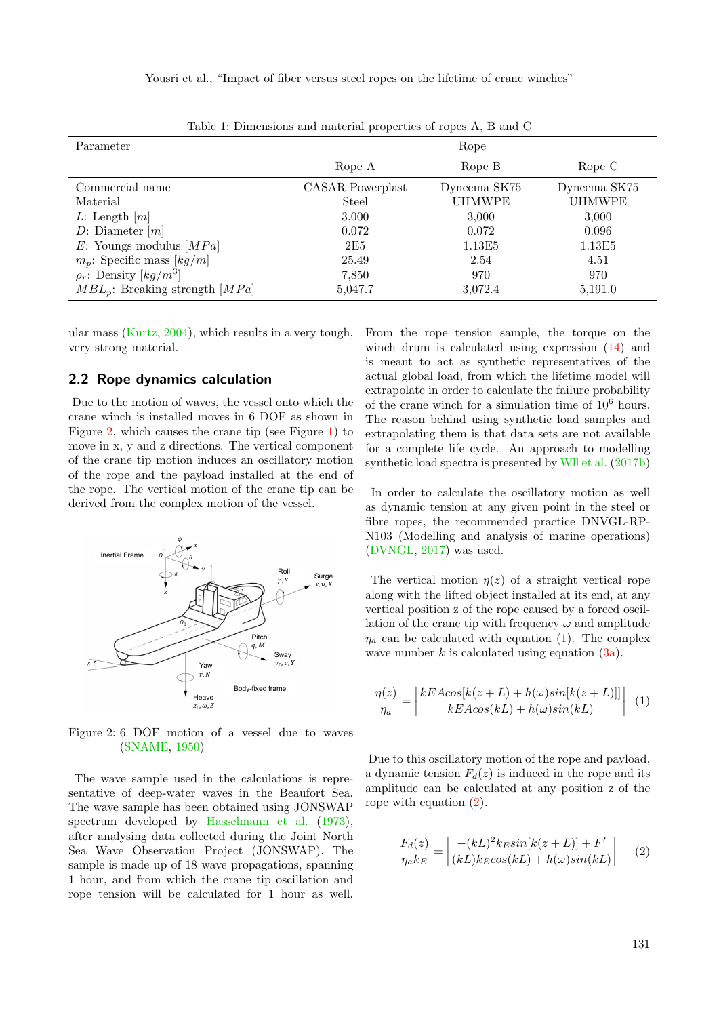<span id="page-2-0"></span>

| Parameter                               | Rope             |               |               |  |  |
|-----------------------------------------|------------------|---------------|---------------|--|--|
|                                         | Rope A           | Rope B        | Rope C        |  |  |
| Commercial name                         | CASAR Powerplast | Dyneema SK75  | Dyneema SK75  |  |  |
| Material                                | Steel            | <b>UHMWPE</b> | <b>UHMWPE</b> |  |  |
| $L:$ Length $[m]$                       | 3,000            | 3,000         | 3,000         |  |  |
| $D:$ Diameter $[m]$                     | 0.072            | 0.072         | 0.096         |  |  |
| $E:$ Youngs modulus [ $MPa$ ]           | 2E5              | 1.13E5        | 1.13E5        |  |  |
| $m_p$ : Specific mass [kg/m]            | 25.49            | 2.54          | 4.51          |  |  |
| $\rho_r$ : Density [kg/m <sup>3</sup> ] | 7,850            | 970           | 970           |  |  |
| $MBL_p$ : Breaking strength [MPa]       | 5,047.7          | 3,072.4       | 5,191.0       |  |  |

Table 1: Dimensions and material properties of ropes A, B and C

ular mass [\(Kurtz,](#page-10-4) [2004\)](#page-10-4), which results in a very tough, very strong material.

#### 2.2 Rope dynamics calculation

Due to the motion of waves, the vessel onto which the crane winch is installed moves in 6 DOF as shown in Figure [2,](#page-2-1) which causes the crane tip (see Figure [1\)](#page-1-0) to move in x, y and z directions. The vertical component of the crane tip motion induces an oscillatory motion of the rope and the payload installed at the end of the rope. The vertical motion of the crane tip can be derived from the complex motion of the vessel.

<span id="page-2-1"></span>

Figure 2: 6 DOF motion of a vessel due to waves [\(SNAME,](#page-10-5) [1950\)](#page-10-5)

The wave sample used in the calculations is representative of deep-water waves in the Beaufort Sea. The wave sample has been obtained using JONSWAP spectrum developed by [Hasselmann et al.](#page-10-6) [\(1973\)](#page-10-6), after analysing data collected during the Joint North Sea Wave Observation Project (JONSWAP). The sample is made up of 18 wave propagations, spanning 1 hour, and from which the crane tip oscillation and rope tension will be calculated for 1 hour as well. From the rope tension sample, the torque on the winch drum is calculated using expression [\(14\)](#page-5-0) and is meant to act as synthetic representatives of the actual global load, from which the lifetime model will extrapolate in order to calculate the failure probability of the crane winch for a simulation time of  $10^6$  hours. The reason behind using synthetic load samples and extrapolating them is that data sets are not available for a complete life cycle. An approach to modelling synthetic load spectra is presented by [Wll et al.](#page-10-7) [\(2017b\)](#page-10-7)

In order to calculate the oscillatory motion as well as dynamic tension at any given point in the steel or fibre ropes, the recommended practice DNVGL-RP-N103 (Modelling and analysis of marine operations) [\(DVNGL,](#page-9-1) [2017\)](#page-9-1) was used.

The vertical motion  $\eta(z)$  of a straight vertical rope along with the lifted object installed at its end, at any vertical position z of the rope caused by a forced oscillation of the crane tip with frequency  $\omega$  and amplitude  $\eta_a$  can be calculated with equation [\(1\)](#page-2-2). The complex wave number  $k$  is calculated using equation  $(3a)$ .

<span id="page-2-2"></span>
$$
\frac{\eta(z)}{\eta_a} = \left| \frac{kEAcos[k(z+L) + h(\omega)sin[k(z+L)]]}{kEAcos(kL) + h(\omega)sin(kL)} \right| \tag{1}
$$

Due to this oscillatory motion of the rope and payload, a dynamic tension  $F_d(z)$  is induced in the rope and its amplitude can be calculated at any position z of the rope with equation [\(2\)](#page-2-3).

<span id="page-2-3"></span>
$$
\frac{F_d(z)}{\eta_a k_E} = \left| \frac{-(kL)^2 k_E \sin[k(z+L)] + F'}{(kL) k_E \cos(kL) + h(\omega) \sin(kL)} \right| \tag{2}
$$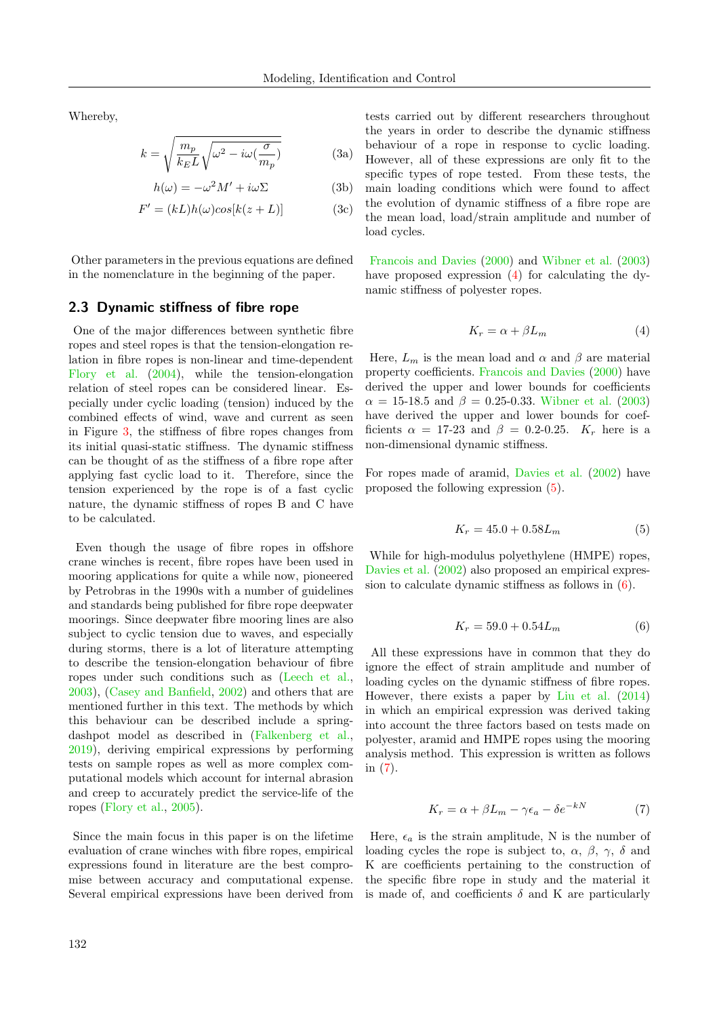Whereby,

<span id="page-3-0"></span>
$$
k = \sqrt{\frac{m_p}{k_E L} \sqrt{\omega^2 - i \omega(\frac{\sigma}{m_p})}}
$$
 (3a)

$$
h(\omega) = -\omega^2 M' + i\omega \Sigma \tag{3b}
$$

$$
F' = (kL)h(\omega)cos[k(z+L)]
$$
 (3c)

Other parameters in the previous equations are defined in the nomenclature in the beginning of the paper.

#### 2.3 Dynamic stiffness of fibre rope

One of the major differences between synthetic fibre ropes and steel ropes is that the tension-elongation relation in fibre ropes is non-linear and time-dependent [Flory et al.](#page-10-8) [\(2004\)](#page-10-8), while the tension-elongation relation of steel ropes can be considered linear. Especially under cyclic loading (tension) induced by the combined effects of wind, wave and current as seen in Figure [3,](#page-5-1) the stiffness of fibre ropes changes from its initial quasi-static stiffness. The dynamic stiffness can be thought of as the stiffness of a fibre rope after applying fast cyclic load to it. Therefore, since the tension experienced by the rope is of a fast cyclic nature, the dynamic stiffness of ropes B and C have to be calculated.

Even though the usage of fibre ropes in offshore crane winches is recent, fibre ropes have been used in mooring applications for quite a while now, pioneered by Petrobras in the 1990s with a number of guidelines and standards being published for fibre rope deepwater moorings. Since deepwater fibre mooring lines are also subject to cyclic tension due to waves, and especially during storms, there is a lot of literature attempting to describe the tension-elongation behaviour of fibre ropes under such conditions such as [\(Leech et al.,](#page-10-9) [2003\)](#page-10-9), [\(Casey and Banfield,](#page-9-2) [2002\)](#page-9-2) and others that are mentioned further in this text. The methods by which this behaviour can be described include a springdashpot model as described in [\(Falkenberg et al.,](#page-9-3) [2019\)](#page-9-3), deriving empirical expressions by performing tests on sample ropes as well as more complex computational models which account for internal abrasion and creep to accurately predict the service-life of the ropes [\(Flory et al.,](#page-10-10) [2005\)](#page-10-10).

Since the main focus in this paper is on the lifetime evaluation of crane winches with fibre ropes, empirical expressions found in literature are the best compromise between accuracy and computational expense. Several empirical expressions have been derived from tests carried out by different researchers throughout the years in order to describe the dynamic stiffness behaviour of a rope in response to cyclic loading. However, all of these expressions are only fit to the specific types of rope tested. From these tests, the main loading conditions which were found to affect the evolution of dynamic stiffness of a fibre rope are the mean load, load/strain amplitude and number of load cycles.

[Francois and Davies](#page-10-11) [\(2000\)](#page-10-11) and [Wibner et al.](#page-10-12) [\(2003\)](#page-10-12) have proposed expression [\(4\)](#page-3-1) for calculating the dynamic stiffness of polyester ropes.

<span id="page-3-1"></span>
$$
K_r = \alpha + \beta L_m \tag{4}
$$

Here,  $L_m$  is the mean load and  $\alpha$  and  $\beta$  are material property coefficients. [Francois and Davies](#page-10-11) [\(2000\)](#page-10-11) have derived the upper and lower bounds for coefficients  $\alpha = 15{\text -}18.5$  and  $\beta = 0.25{\text -}0.33$ . [Wibner et al.](#page-10-12) [\(2003\)](#page-10-12) have derived the upper and lower bounds for coefficients  $\alpha = 17-23$  and  $\beta = 0.2-0.25$ .  $K_r$  here is a non-dimensional dynamic stiffness.

For ropes made of aramid, [Davies et al.](#page-9-4) [\(2002\)](#page-9-4) have proposed the following expression [\(5\)](#page-3-2).

<span id="page-3-2"></span>
$$
K_r = 45.0 + 0.58L_m \tag{5}
$$

While for high-modulus polyethylene (HMPE) ropes, [Davies et al.](#page-9-4)  $(2002)$  also proposed an empirical expression to calculate dynamic stiffness as follows in [\(6\)](#page-3-3).

<span id="page-3-3"></span>
$$
K_r = 59.0 + 0.54L_m \tag{6}
$$

All these expressions have in common that they do ignore the effect of strain amplitude and number of loading cycles on the dynamic stiffness of fibre ropes. However, there exists a paper by [Liu et al.](#page-10-13) [\(2014\)](#page-10-13) in which an empirical expression was derived taking into account the three factors based on tests made on polyester, aramid and HMPE ropes using the mooring analysis method. This expression is written as follows in [\(7\)](#page-3-4).

<span id="page-3-4"></span>
$$
K_r = \alpha + \beta L_m - \gamma \epsilon_a - \delta e^{-kN} \tag{7}
$$

Here,  $\epsilon_a$  is the strain amplitude, N is the number of loading cycles the rope is subject to,  $\alpha$ ,  $\beta$ ,  $\gamma$ ,  $\delta$  and K are coefficients pertaining to the construction of the specific fibre rope in study and the material it is made of, and coefficients  $\delta$  and K are particularly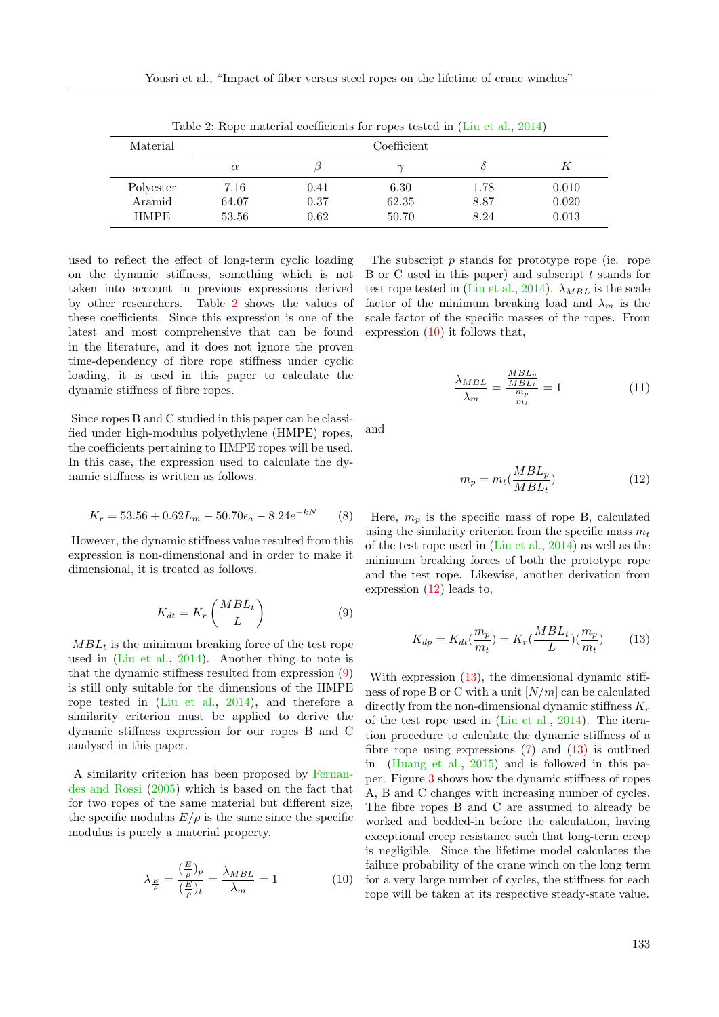<span id="page-4-0"></span>

| Material    | -------------<br>Coefficient |      |       |      |       |  |
|-------------|------------------------------|------|-------|------|-------|--|
|             | $\alpha$                     |      |       |      |       |  |
| Polyester   | 7.16                         | 0.41 | 6.30  | 1.78 | 0.010 |  |
| Aramid      | 64.07                        | 0.37 | 62.35 | 8.87 | 0.020 |  |
| <b>HMPE</b> | 53.56                        | 0.62 | 50.70 | 8.24 | 0.013 |  |

Table 2: Rope material coefficients for ropes tested in [\(Liu et al.,](#page-10-13) [2014\)](#page-10-13)

used to reflect the effect of long-term cyclic loading on the dynamic stiffness, something which is not taken into account in previous expressions derived by other researchers. Table [2](#page-4-0) shows the values of these coefficients. Since this expression is one of the latest and most comprehensive that can be found in the literature, and it does not ignore the proven time-dependency of fibre rope stiffness under cyclic loading, it is used in this paper to calculate the dynamic stiffness of fibre ropes.

Since ropes B and C studied in this paper can be classified under high-modulus polyethylene (HMPE) ropes, the coefficients pertaining to HMPE ropes will be used. In this case, the expression used to calculate the dynamic stiffness is written as follows.

$$
K_r = 53.56 + 0.62L_m - 50.70\epsilon_a - 8.24e^{-kN} \tag{8}
$$

However, the dynamic stiffness value resulted from this expression is non-dimensional and in order to make it dimensional, it is treated as follows.

$$
K_{dt} = K_r \left(\frac{MBL_t}{L}\right) \tag{9}
$$

 $MBL_t$  is the minimum breaking force of the test rope used in [\(Liu et al.,](#page-10-13) [2014\)](#page-10-13). Another thing to note is that the dynamic stiffness resulted from expression [\(9\)](#page-4-1) is still only suitable for the dimensions of the HMPE rope tested in [\(Liu et al.,](#page-10-13) [2014\)](#page-10-13), and therefore a similarity criterion must be applied to derive the dynamic stiffness expression for our ropes B and C analysed in this paper.

A similarity criterion has been proposed by [Fernan](#page-9-5)[des and Rossi](#page-9-5) [\(2005\)](#page-9-5) which is based on the fact that for two ropes of the same material but different size, the specific modulus  $E/\rho$  is the same since the specific modulus is purely a material property.

<span id="page-4-2"></span>
$$
\lambda_{\frac{E}{\rho}} = \frac{\left(\frac{E}{\rho}\right)_p}{\left(\frac{E}{\rho}\right)_t} = \frac{\lambda_{MBL}}{\lambda_m} = 1\tag{10}
$$

The subscript p stands for prototype rope (ie. rope B or C used in this paper) and subscript  $t$  stands for test rope tested in [\(Liu et al.,](#page-10-13) [2014\)](#page-10-13).  $\lambda_{MBL}$  is the scale factor of the minimum breaking load and  $\lambda_m$  is the scale factor of the specific masses of the ropes. From expression [\(10\)](#page-4-2) it follows that,

$$
\frac{\lambda_{MBL}}{\lambda_m} = \frac{\frac{MBL_p}{MBL_t}}{\frac{m_p}{m_t}} = 1
$$
\n(11)

and

<span id="page-4-3"></span>
$$
m_p = m_t \left(\frac{MBL_p}{MBL_t}\right) \tag{12}
$$

<span id="page-4-5"></span>Here,  $m_p$  is the specific mass of rope B, calculated using the similarity criterion from the specific mass  $m_t$ of the test rope used in [\(Liu et al.,](#page-10-13) [2014\)](#page-10-13) as well as the minimum breaking forces of both the prototype rope and the test rope. Likewise, another derivation from expression [\(12\)](#page-4-3) leads to,

<span id="page-4-4"></span>
$$
K_{dp} = K_{dt}(\frac{m_p}{m_t}) = K_r(\frac{MBL_t}{L})(\frac{m_p}{m_t})
$$
 (13)

<span id="page-4-1"></span>With expression  $(13)$ , the dimensional dynamic stiffness of rope B or C with a unit  $[N/m]$  can be calculated directly from the non-dimensional dynamic stiffness  $K_r$ of the test rope used in [\(Liu et al.,](#page-10-13) [2014\)](#page-10-13). The iteration procedure to calculate the dynamic stiffness of a fibre rope using expressions  $(7)$  and  $(13)$  is outlined in [\(Huang et al.,](#page-10-14) [2015\)](#page-10-14) and is followed in this paper. Figure [3](#page-5-1) shows how the dynamic stiffness of ropes A, B and C changes with increasing number of cycles. The fibre ropes B and C are assumed to already be worked and bedded-in before the calculation, having exceptional creep resistance such that long-term creep is negligible. Since the lifetime model calculates the failure probability of the crane winch on the long term for a very large number of cycles, the stiffness for each rope will be taken at its respective steady-state value.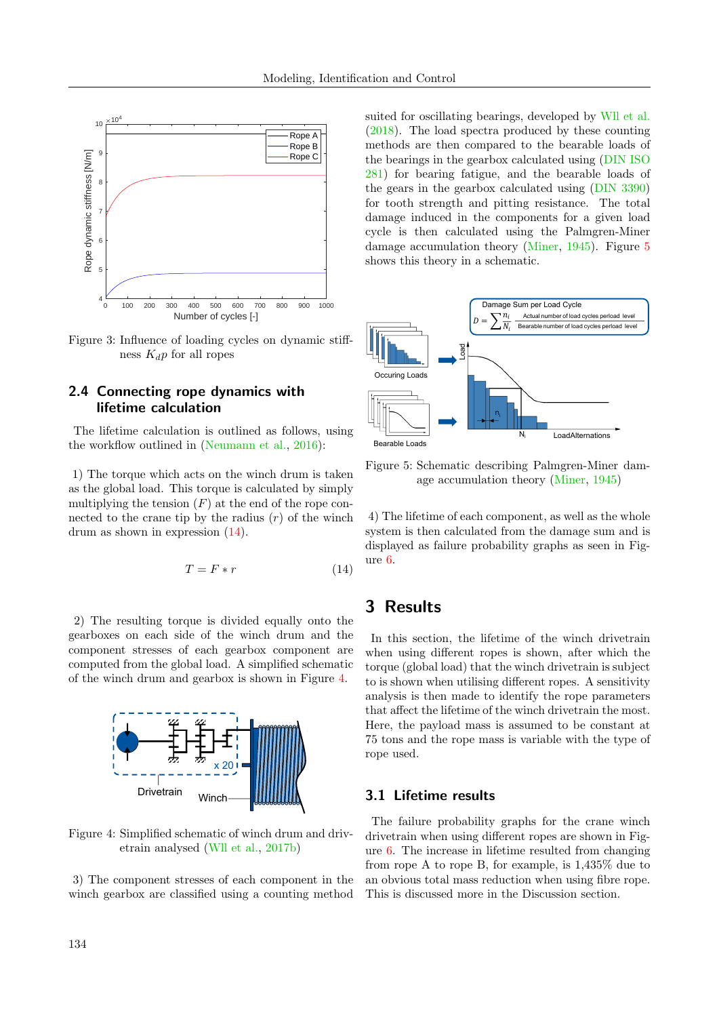<span id="page-5-1"></span>

Figure 3: Influence of loading cycles on dynamic stiffness  $K_d p$  for all ropes

## 2.4 Connecting rope dynamics with lifetime calculation

The lifetime calculation is outlined as follows, using the workflow outlined in [\(Neumann et al.,](#page-10-3) [2016\)](#page-10-3):

1) The torque which acts on the winch drum is taken as the global load. This torque is calculated by simply multiplying the tension  $(F)$  at the end of the rope connected to the crane tip by the radius  $(r)$  of the winch drum as shown in expression [\(14\)](#page-5-0).

$$
T = F * r \tag{14}
$$

2) The resulting torque is divided equally onto the gearboxes on each side of the winch drum and the component stresses of each gearbox component are computed from the global load. A simplified schematic of the winch drum and gearbox is shown in Figure [4.](#page-5-2)

<span id="page-5-2"></span>

Figure 4: Simplified schematic of winch drum and drivetrain analysed [\(Wll et al.,](#page-10-7) [2017b\)](#page-10-7)

3) The component stresses of each component in the winch gearbox are classified using a counting method suited for oscillating bearings, developed by [Wll et al.](#page-10-2) [\(2018\)](#page-10-2). The load spectra produced by these counting methods are then compared to the bearable loads of the bearings in the gearbox calculated using [\(DIN ISO](#page-9-6) [281\)](#page-9-6) for bearing fatigue, and the bearable loads of the gears in the gearbox calculated using [\(DIN 3390\)](#page-9-7) for tooth strength and pitting resistance. The total damage induced in the components for a given load cycle is then calculated using the Palmgren-Miner damage accumulation theory [\(Miner,](#page-10-15) [1945\)](#page-10-15). Figure [5](#page-5-3) shows this theory in a schematic.

<span id="page-5-3"></span>

Figure 5: Schematic describing Palmgren-Miner damage accumulation theory [\(Miner,](#page-10-15) [1945\)](#page-10-15)

<span id="page-5-0"></span>4) The lifetime of each component, as well as the whole system is then calculated from the damage sum and is displayed as failure probability graphs as seen in Figure [6.](#page-6-0)

## 3 Results

In this section, the lifetime of the winch drivetrain when using different ropes is shown, after which the torque (global load) that the winch drivetrain is subject to is shown when utilising different ropes. A sensitivity analysis is then made to identify the rope parameters that affect the lifetime of the winch drivetrain the most. Here, the payload mass is assumed to be constant at 75 tons and the rope mass is variable with the type of rope used.

#### 3.1 Lifetime results

The failure probability graphs for the crane winch drivetrain when using different ropes are shown in Figure [6.](#page-6-0) The increase in lifetime resulted from changing from rope A to rope B, for example, is 1,435% due to an obvious total mass reduction when using fibre rope. This is discussed more in the Discussion section.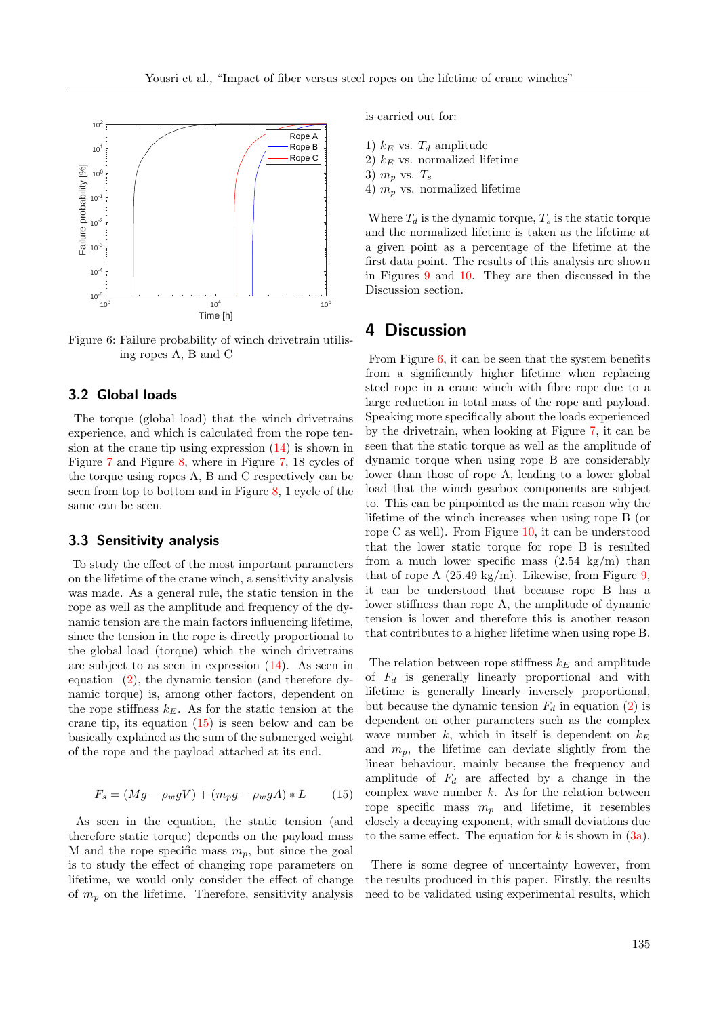<span id="page-6-0"></span>

Figure 6: Failure probability of winch drivetrain utilising ropes A, B and C

## 3.2 Global loads

The torque (global load) that the winch drivetrains experience, and which is calculated from the rope tension at the crane tip using expression [\(14\)](#page-5-0) is shown in Figure [7](#page-7-0) and Figure [8,](#page-7-1) where in Figure [7,](#page-7-0) 18 cycles of the torque using ropes A, B and C respectively can be seen from top to bottom and in Figure [8,](#page-7-1) 1 cycle of the same can be seen.

## 3.3 Sensitivity analysis

To study the effect of the most important parameters on the lifetime of the crane winch, a sensitivity analysis was made. As a general rule, the static tension in the rope as well as the amplitude and frequency of the dynamic tension are the main factors influencing lifetime, since the tension in the rope is directly proportional to the global load (torque) which the winch drivetrains are subject to as seen in expression [\(14\)](#page-5-0). As seen in equation [\(2\)](#page-2-3), the dynamic tension (and therefore dynamic torque) is, among other factors, dependent on the rope stiffness  $k_E$ . As for the static tension at the crane tip, its equation [\(15\)](#page-6-1) is seen below and can be basically explained as the sum of the submerged weight of the rope and the payload attached at its end.

$$
F_s = (Mg - \rho_w gV) + (m_p g - \rho_w gA) * L \tag{15}
$$

As seen in the equation, the static tension (and therefore static torque) depends on the payload mass M and the rope specific mass  $m_p$ , but since the goal is to study the effect of changing rope parameters on lifetime, we would only consider the effect of change of  $m_p$  on the lifetime. Therefore, sensitivity analysis is carried out for:

1)  $k_E$  vs.  $T_d$  amplitude 2)  $k_E$  vs. normalized lifetime 3)  $m_p$  vs.  $T_s$ 4)  $m_p$  vs. normalized lifetime

Where  $T_d$  is the dynamic torque,  $T_s$  is the static torque and the normalized lifetime is taken as the lifetime at a given point as a percentage of the lifetime at the first data point. The results of this analysis are shown in Figures [9](#page-8-0) and [10.](#page-8-1) They are then discussed in the Discussion section.

## 4 Discussion

From Figure [6,](#page-6-0) it can be seen that the system benefits from a significantly higher lifetime when replacing steel rope in a crane winch with fibre rope due to a large reduction in total mass of the rope and payload. Speaking more specifically about the loads experienced by the drivetrain, when looking at Figure [7,](#page-7-0) it can be seen that the static torque as well as the amplitude of dynamic torque when using rope B are considerably lower than those of rope A, leading to a lower global load that the winch gearbox components are subject to. This can be pinpointed as the main reason why the lifetime of the winch increases when using rope B (or rope C as well). From Figure [10,](#page-8-1) it can be understood that the lower static torque for rope B is resulted from a much lower specific mass  $(2.54 \text{ kg/m})$  than that of rope A  $(25.49 \text{ kg/m})$ . Likewise, from Figure [9,](#page-8-0) it can be understood that because rope B has a lower stiffness than rope A, the amplitude of dynamic tension is lower and therefore this is another reason that contributes to a higher lifetime when using rope B.

The relation between rope stiffness  $k_E$  and amplitude of  $F_d$  is generally linearly proportional and with lifetime is generally linearly inversely proportional, but because the dynamic tension  $F_d$  in equation [\(2\)](#page-2-3) is dependent on other parameters such as the complex wave number k, which in itself is dependent on  $k_E$ and  $m_p$ , the lifetime can deviate slightly from the linear behaviour, mainly because the frequency and amplitude of  $F_d$  are affected by a change in the complex wave number  $k$ . As for the relation between rope specific mass  $m_p$  and lifetime, it resembles closely a decaying exponent, with small deviations due to the same effect. The equation for  $k$  is shown in  $(3a)$ .

<span id="page-6-1"></span>There is some degree of uncertainty however, from the results produced in this paper. Firstly, the results need to be validated using experimental results, which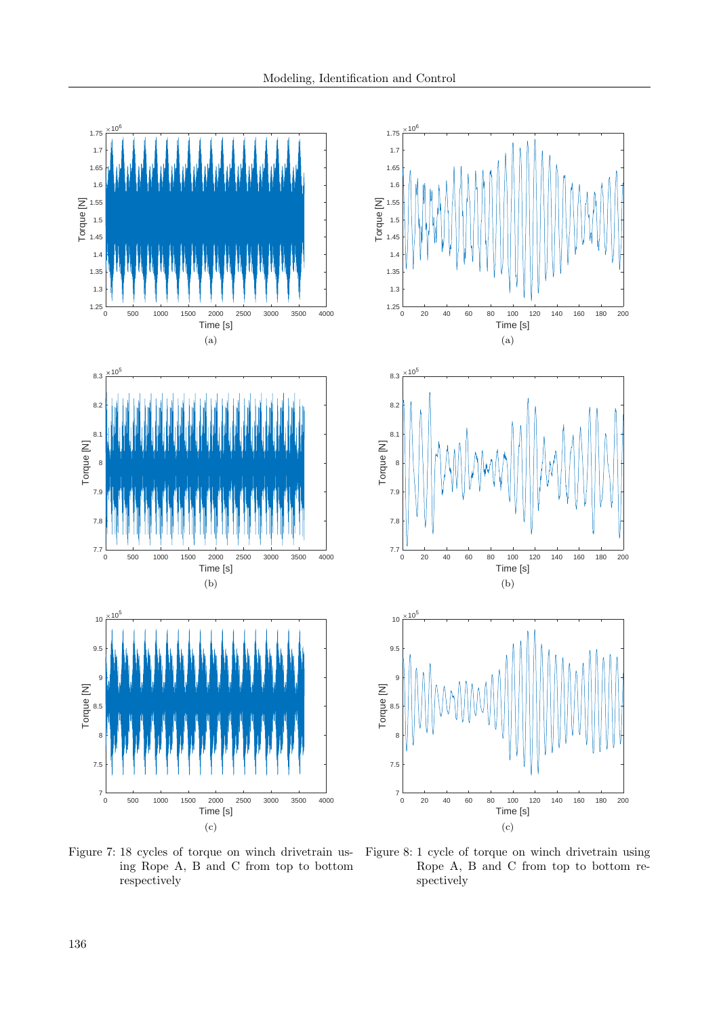<span id="page-7-0"></span>

Figure 7: 18 cycles of torque on winch drivetrain using Rope A, B and C from top to bottom respectively

<span id="page-7-1"></span>

Figure 8: 1 cycle of torque on winch drivetrain using Rope A, B and C from top to bottom respectively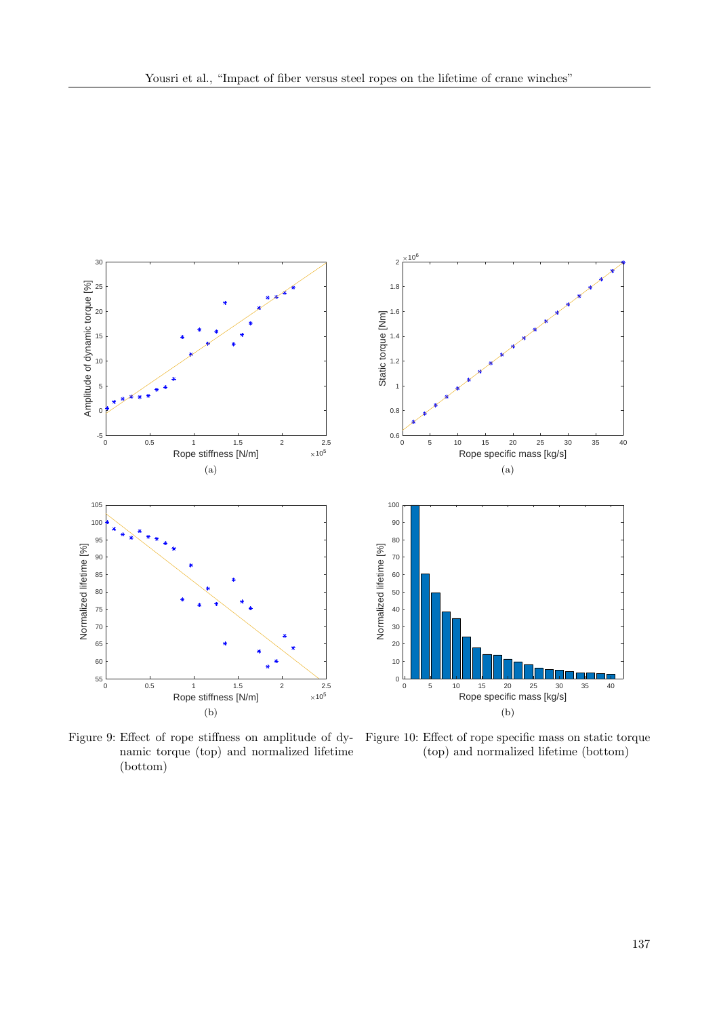<span id="page-8-0"></span>

namic torque (top) and normalized lifetime (bottom)

<span id="page-8-1"></span>

Figure 9: Effect of rope stiffness on amplitude of dy-Figure 10: Effect of rope specific mass on static torque (top) and normalized lifetime (bottom)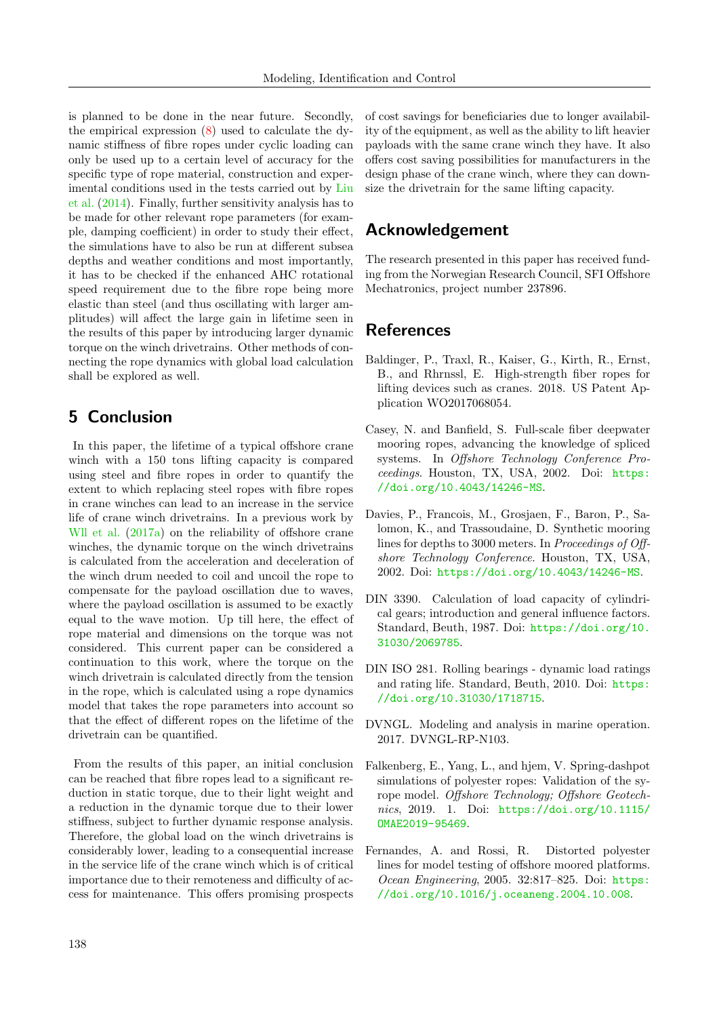is planned to be done in the near future. Secondly, the empirical expression [\(8\)](#page-4-5) used to calculate the dynamic stiffness of fibre ropes under cyclic loading can only be used up to a certain level of accuracy for the specific type of rope material, construction and experimental conditions used in the tests carried out by [Liu](#page-10-13) [et al.](#page-10-13) [\(2014\)](#page-10-13). Finally, further sensitivity analysis has to be made for other relevant rope parameters (for example, damping coefficient) in order to study their effect, the simulations have to also be run at different subsea depths and weather conditions and most importantly, it has to be checked if the enhanced AHC rotational speed requirement due to the fibre rope being more elastic than steel (and thus oscillating with larger amplitudes) will affect the large gain in lifetime seen in the results of this paper by introducing larger dynamic torque on the winch drivetrains. Other methods of connecting the rope dynamics with global load calculation shall be explored as well.

# 5 Conclusion

In this paper, the lifetime of a typical offshore crane winch with a 150 tons lifting capacity is compared using steel and fibre ropes in order to quantify the extent to which replacing steel ropes with fibre ropes in crane winches can lead to an increase in the service life of crane winch drivetrains. In a previous work by [Wll et al.](#page-10-16)  $(2017a)$  on the reliability of offshore crane winches, the dynamic torque on the winch drivetrains is calculated from the acceleration and deceleration of the winch drum needed to coil and uncoil the rope to compensate for the payload oscillation due to waves, where the payload oscillation is assumed to be exactly equal to the wave motion. Up till here, the effect of rope material and dimensions on the torque was not considered. This current paper can be considered a continuation to this work, where the torque on the winch drivetrain is calculated directly from the tension in the rope, which is calculated using a rope dynamics model that takes the rope parameters into account so that the effect of different ropes on the lifetime of the drivetrain can be quantified.

From the results of this paper, an initial conclusion can be reached that fibre ropes lead to a significant reduction in static torque, due to their light weight and a reduction in the dynamic torque due to their lower stiffness, subject to further dynamic response analysis. Therefore, the global load on the winch drivetrains is considerably lower, leading to a consequential increase in the service life of the crane winch which is of critical importance due to their remoteness and difficulty of access for maintenance. This offers promising prospects of cost savings for beneficiaries due to longer availability of the equipment, as well as the ability to lift heavier payloads with the same crane winch they have. It also offers cost saving possibilities for manufacturers in the design phase of the crane winch, where they can downsize the drivetrain for the same lifting capacity.

# Acknowledgement

The research presented in this paper has received funding from the Norwegian Research Council, SFI Offshore Mechatronics, project number 237896.

# **References**

- <span id="page-9-0"></span>Baldinger, P., Traxl, R., Kaiser, G., Kirth, R., Ernst, B., and Rhrnssl, E. High-strength fiber ropes for lifting devices such as cranes. 2018. US Patent Application WO2017068054.
- <span id="page-9-2"></span>Casey, N. and Banfield, S. Full-scale fiber deepwater mooring ropes, advancing the knowledge of spliced systems. In Offshore Technology Conference Proceedings. Houston, TX, USA, 2002. Doi: [https:](https://doi.org/10.4043/14246-MS) [//doi.org/10.4043/14246-MS](https://doi.org/10.4043/14246-MS).
- <span id="page-9-4"></span>Davies, P., Francois, M., Grosjaen, F., Baron, P., Salomon, K., and Trassoudaine, D. Synthetic mooring lines for depths to 3000 meters. In Proceedings of Offshore Technology Conference. Houston, TX, USA, 2002. Doi: <https://doi.org/10.4043/14246-MS>.
- <span id="page-9-7"></span>DIN 3390. Calculation of load capacity of cylindrical gears; introduction and general influence factors. Standard, Beuth, 1987. Doi: [https://doi.org/10.](https://doi.org/10.31030/2069785) [31030/2069785](https://doi.org/10.31030/2069785).
- <span id="page-9-6"></span>DIN ISO 281. Rolling bearings - dynamic load ratings and rating life. Standard, Beuth, 2010. Doi: [https:](https://doi.org/10.31030/1718715) [//doi.org/10.31030/1718715](https://doi.org/10.31030/1718715).
- <span id="page-9-1"></span>DVNGL. Modeling and analysis in marine operation. 2017. DVNGL-RP-N103.
- <span id="page-9-3"></span>Falkenberg, E., Yang, L., and hjem, V. Spring-dashpot simulations of polyester ropes: Validation of the syrope model. Offshore Technology; Offshore Geotechnics, 2019. 1. Doi: [https://doi.org/10.1115/](https://doi.org/10.1115/OMAE2019-95469) [OMAE2019-95469](https://doi.org/10.1115/OMAE2019-95469).
- <span id="page-9-5"></span>Fernandes, A. and Rossi, R. Distorted polyester lines for model testing of offshore moored platforms. Ocean Engineering, 2005. 32:817–825. Doi: [https:](https://doi.org/10.1016/j.oceaneng.2004.10.008) [//doi.org/10.1016/j.oceaneng.2004.10.008](https://doi.org/10.1016/j.oceaneng.2004.10.008).